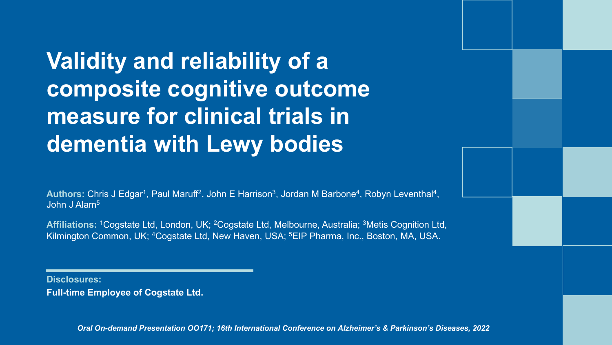**Validity and reliability of a composite cognitive outcome measure for clinical trials in dementia with Lewy bodies**

Authors: Chris J Edgar<sup>1</sup>, Paul Maruff<sup>2</sup>, John E Harrison<sup>3</sup>, Jordan M Barbone<sup>4</sup>, Robyn Leventhal<sup>4</sup>, John J Alam5

**Affiliations:** 1Cogstate Ltd, London, UK; 2Cogstate Ltd, Melbourne, Australia; 3Metis Cognition Ltd, Kilmington Common, UK; <sup>4</sup>Cogstate Ltd, New Haven, USA; <sup>5</sup>EIP Pharma, Inc., Boston, MA, USA.

**Disclosures:**

**Full-time Employee of Cogstate Ltd.**

*Oral On-demand Presentation OO171; 16th International Conference on Alzheimer's & Parkinson's Diseases, 2022*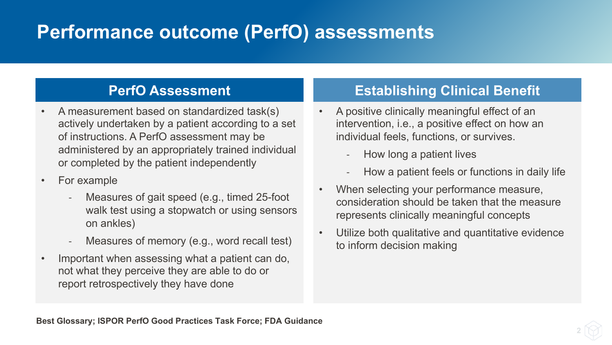# **Performance outcome (PerfO) assessments**

- A measurement based on standardized task(s) actively undertaken by a patient according to a set of instructions. A PerfO assessment may be administered by an appropriately trained individual or completed by the patient independently
- For example
	- Measures of gait speed (e.g., timed 25-foot walk test using a stopwatch or using sensors on ankles)
	- Measures of memory (e.g., word recall test)
- Important when assessing what a patient can do, not what they perceive they are able to do or report retrospectively they have done

### **PerfO Assessment Establishing Clinical Benefit**

- A positive clinically meaningful effect of an intervention, i.e., a positive effect on how an individual feels, functions, or survives.
	- How long a patient lives
	- How a patient feels or functions in daily life

**2**

- When selecting your performance measure, consideration should be taken that the measure represents clinically meaningful concepts
- Utilize both qualitative and quantitative evidence to inform decision making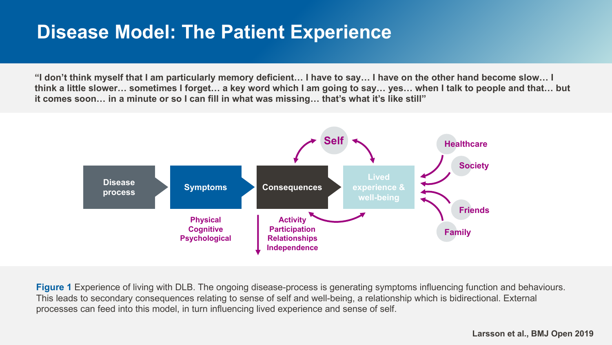### **Disease Model: The Patient Experience**

**"I don't think myself that I am particularly memory deficient… I have to say… I have on the other hand become slow… I think a little slower… sometimes I forget… a key word which I am going to say… yes… when I talk to people and that… but it comes soon… in a minute or so I can fill in what was missing… that's what it's like still"**



**Figure 1** Experience of living with DLB. The ongoing disease-process is generating symptoms influencing function and behaviours. This leads to secondary consequences relating to sense of self and well-being, a relationship which is bidirectional. External processes can feed into this model, in turn influencing lived experience and sense of self.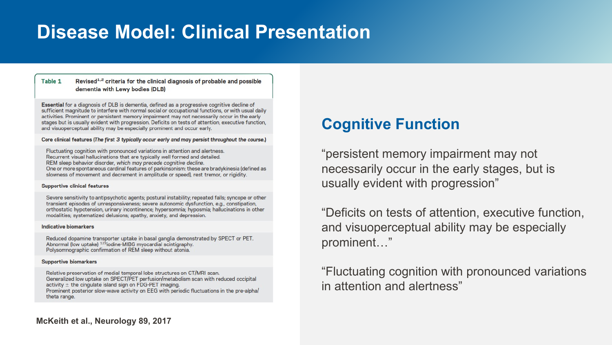## **Disease Model: Clinical Presentation**

#### Table 1 Revised<sup>1,2</sup> criteria for the clinical diagnosis of probable and possible dementia with Lewy bodies (DLB)

**Essential** for a diagnosis of DLB is dementia, defined as a progressive cognitive decline of sufficient magnitude to interfere with normal social or occupational functions, or with usual daily activities. Prominent or persistent memory impairment may not necessarily occur in the early stages but is usually evident with progression. Deficits on tests of attention, executive function, and visuoperceptual ability may be especially prominent and occur early.

#### Core clinical features (The first 3 typically occur early and may persist throughout the course.)

Fluctuating cognition with pronounced variations in attention and alertness. Recurrent visual hallucinations that are typically well formed and detailed. REM sleep behavior disorder, which may precede cognitive decline. One or more spontaneous cardinal features of parkinsonism: these are bradykinesia (defined as slowness of movement and decrement in amplitude or speed), rest tremor, or rigidity.

#### **Supportive clinical features**

Severe sensitivity to antipsychotic agents; postural instability; repeated falls; syncope or other transient episodes of unresponsiveness; severe autonomic dysfunction, e.g., constipation, orthostatic hypotension, urinary incontinence; hypersomnia; hyposmia; hallucinations in other modalities; systematized delusions; apathy, anxiety, and depression.

#### **Indicative biomarkers**

Reduced dopamine transporter uptake in basal ganglia demonstrated by SPECT or PET. Abnormal (low uptake) 123 iodine-MIBG myocardial scintigraphy. Polysomnographic confirmation of REM sleep without atonia.

### **Supportive biomarkers**

Relative preservation of medial temporal lobe structures on CT/MRI scan. Generalized low uptake on SPECT/PET perfusion/metabolism scan with reduced occipital activity  $\pm$  the cingulate island sign on FDG-PET imaging. Prominent posterior slow-wave activity on EEG with periodic fluctuations in the pre-alpha/ theta range.

### **Cognitive Function**

"persistent memory impairment may not necessarily occur in the early stages, but is usually evident with progression"

"Deficits on tests of attention, executive function, and visuoperceptual ability may be especially prominent…"

"Fluctuating cognition with pronounced variations in attention and alertness"

**McKeith et al., Neurology 89, 2017**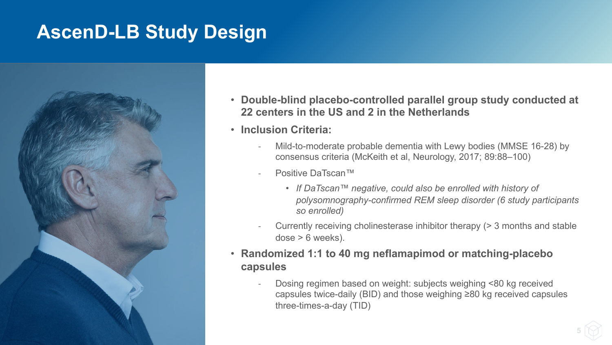## **AscenD-LB Study Design**



- **Double-blind placebo-controlled parallel group study conducted at 22 centers in the US and 2 in the Netherlands**
- **Inclusion Criteria:**
	- Mild-to-moderate probable dementia with Lewy bodies (MMSE 16-28) by consensus criteria (McKeith et al, Neurology, 2017; 89:88–100)
	- Positive DaTscan™
		- *If DaTscan™ negative, could also be enrolled with history of polysomnography-confirmed REM sleep disorder (6 study participants so enrolled)*
	- Currently receiving cholinesterase inhibitor therapy (> 3 months and stable dose > 6 weeks).
- **Randomized 1:1 to 40 mg neflamapimod or matching-placebo capsules**
	- Dosing regimen based on weight: subjects weighing <80 kg received capsules twice-daily (BID) and those weighing ≥80 kg received capsules three-times-a-day (TID)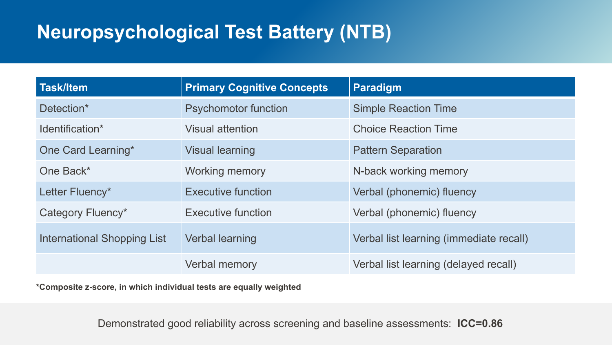# **Neuropsychological Test Battery (NTB)**

| <b>Task/Item</b>            | <b>Primary Cognitive Concepts</b> | <b>Paradigm</b>                         |
|-----------------------------|-----------------------------------|-----------------------------------------|
| Detection*                  | <b>Psychomotor function</b>       | <b>Simple Reaction Time</b>             |
| Identification*             | <b>Visual attention</b>           | <b>Choice Reaction Time</b>             |
| One Card Learning*          | <b>Visual learning</b>            | <b>Pattern Separation</b>               |
| One Back*                   | <b>Working memory</b>             | N-back working memory                   |
| Letter Fluency*             | <b>Executive function</b>         | Verbal (phonemic) fluency               |
| Category Fluency*           | <b>Executive function</b>         | Verbal (phonemic) fluency               |
| International Shopping List | <b>Verbal learning</b>            | Verbal list learning (immediate recall) |
|                             | Verbal memory                     | Verbal list learning (delayed recall)   |

**\*Composite z-score, in which individual tests are equally weighted**

Demonstrated good reliability across screening and baseline assessments: **ICC=0.86**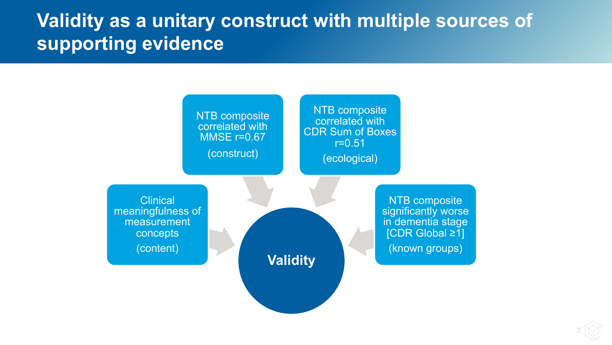### **Validity as a unitary construct with multiple sources of supporting evidence**